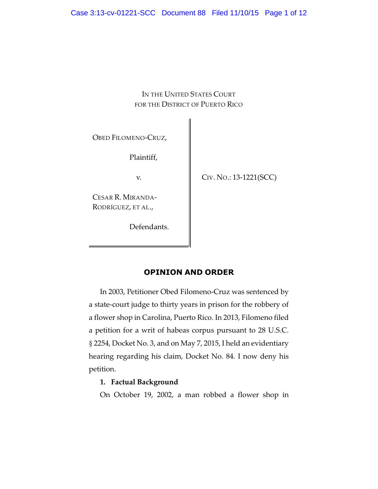IN THE UNITED STATES COURT

| FOR THE DISTRICT OF PUERTO RICO                        |                        |
|--------------------------------------------------------|------------------------|
| <b>OBED FILOMENO-CRUZ,</b><br>Plaintiff,<br>V.         | CIV. No.: 13-1221(SCC) |
| CESAR R. MIRANDA-<br>RODRÍGUEZ, ET AL.,<br>Defendants. |                        |

# **OPINION AND ORDER**

In 2003, Petitioner Obed Filomeno-Cruz was sentenced by a state-court judge to thirty years in prison for the robbery of a flower shop in Carolina, Puerto Rico. In 2013, Filomeno filed a petition for a writ of habeas corpus pursuant to 28 U.S.C. § 2254, Docket No. 3, and on May 7, 2015, I held an evidentiary hearing regarding his claim, Docket No. 84. I now deny his petition.

## **1. Factual Background**

On October 19, 2002, a man robbed a flower shop in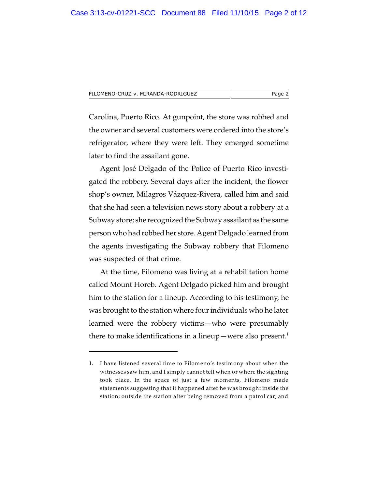| FILOMENO-CRUZ v. MIRANDA-RODRIGUEZ | Page 2 |
|------------------------------------|--------|
|------------------------------------|--------|

Carolina, Puerto Rico. At gunpoint, the store was robbed and the owner and several customers were ordered into the store's refrigerator, where they were left. They emerged sometime later to find the assailant gone.

Agent José Delgado of the Police of Puerto Rico investigated the robbery. Several days after the incident, the flower shop's owner, Milagros Vázquez-Rivera, called him and said that she had seen a television news story about a robbery at a Subway store; she recognized the Subway assailant as the same person who hadrobbed her store. Agent Delgado learned from the agents investigating the Subway robbery that Filomeno was suspected of that crime.

At the time, Filomeno was living at a rehabilitation home called Mount Horeb. Agent Delgado picked him and brought him to the station for a lineup. According to his testimony, he was brought to the station where four individuals who he later learned were the robbery victims—who were presumably there to make identifications in a lineup—were also present.<sup>1</sup>

**<sup>1.</sup>** I have listened several time to Filomeno's testimony about when the witnesses saw him, and I simply cannot tell when or where the sighting took place. In the space of just a few moments, Filomeno made statements suggesting that it happened after he was brought inside the station; outside the station after being removed from a patrol car; and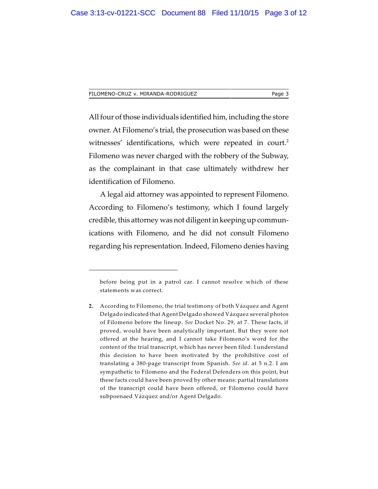All four of those individuals identified him, including the store owner. At Filomeno's trial, the prosecution was based on these witnesses' identifications, which were repeated in court.<sup>2</sup> Filomeno was never charged with the robbery of the Subway, as the complainant in that case ultimately withdrew her identification of Filomeno.

A legal aid attorney was appointed to represent Filomeno. According to Filomeno's testimony, which I found largely credible, this attorney was not diligent in keeping up communications with Filomeno, and he did not consult Filomeno regarding his representation. Indeed, Filomeno denies having

before being put in a patrol car. I cannot resolve which of these statements was correct.

**<sup>2.</sup>** According to Filomeno, the trial testimony of both Vázquez and Agent Delgado indicated that Agent Delgado showed Vázquez several photos of Filomeno before the lineup. *See* Docket No. 29, at 7. These facts, if proved, would have been analytically important. But they were not offered at the hearing, and I cannot take Filomeno's word for the content of the trial transcript, which has never been filed. I understand this decision to have been motivated by the prohibitive cost of translating a 380-page transcript from Spanish. *See id.* at 5 n.2. I am sympathetic to Filomeno and the Federal Defenders on this point, but these facts could have been proved by other means: partial translations of the transcript could have been offered, or Filomeno could have subpoenaed Vázquez and/or Agent Delgado.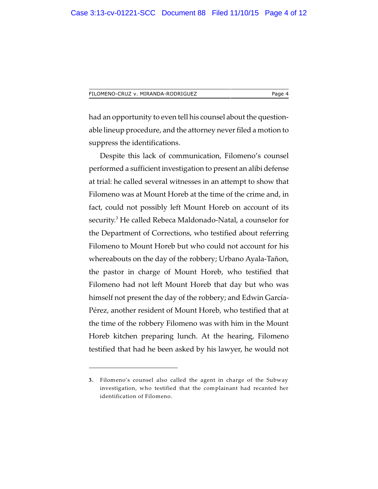| FILOMENO-CRUZ v. MIRANDA-RODRIGUEZ | Page 4 |
|------------------------------------|--------|
|------------------------------------|--------|

had an opportunity to even tell his counsel about the questionable lineup procedure, and the attorney never filed a motion to suppress the identifications.

Despite this lack of communication, Filomeno's counsel performed a sufficient investigation to present an alibi defense at trial: he called several witnesses in an attempt to show that Filomeno was at Mount Horeb at the time of the crime and, in fact, could not possibly left Mount Horeb on account of its security.<sup>3</sup> He called Rebeca Maldonado-Natal, a counselor for the Department of Corrections, who testified about referring Filomeno to Mount Horeb but who could not account for his whereabouts on the day of the robbery; Urbano Ayala-Tañon, the pastor in charge of Mount Horeb, who testified that Filomeno had not left Mount Horeb that day but who was himself not present the day of the robbery; and Edwin García-Pérez, another resident of Mount Horeb, who testified that at the time of the robbery Filomeno was with him in the Mount Horeb kitchen preparing lunch. At the hearing, Filomeno testified that had he been asked by his lawyer, he would not

**<sup>3.</sup>** Filomeno's counsel also called the agent in charge of the Subway investigation, who testified that the complainant had recanted her identification of Filomeno.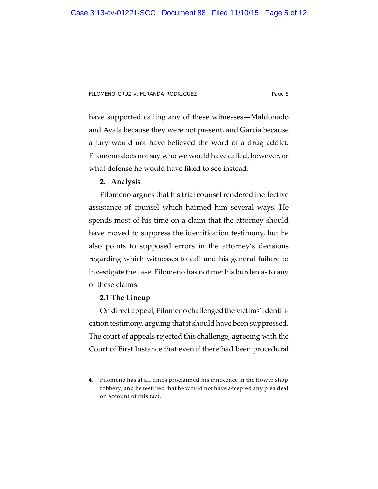| Page 5 |
|--------|
|        |

have supported calling any of these witnesses—Maldonado and Ayala because they were not present, and García because a jury would not have believed the word of a drug addict. Filomeno does not say who we would have called, however, or what defense he would have liked to see instead. $4$ 

## **2. Analysis**

Filomeno argues that his trial counsel rendered ineffective assistance of counsel which harmed him several ways. He spends most of his time on a claim that the attorney should have moved to suppress the identification testimony, but he also points to supposed errors in the attorney's decisions regarding which witnesses to call and his general failure to investigate the case. Filomeno has not met his burden as to any of these claims.

### **2.1 The Lineup**

On direct appeal, Filomenochallenged the victims' identification testimony, arguing that it should have been suppressed. The court of appeals rejected this challenge, agreeing with the Court of First Instance that even if there had been procedural

**<sup>4.</sup>** Filomeno has at all times proclaimed his innocence in the flower shop robbery, and he testified that he would not have accepted any plea deal on account of this fact.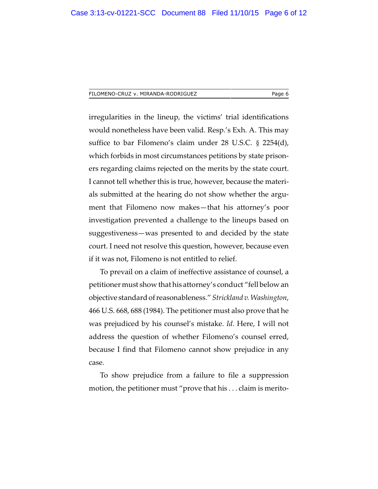irregularities in the lineup, the victims' trial identifications would nonetheless have been valid. Resp.'s Exh. A. This may suffice to bar Filomeno's claim under 28 U.S.C. § 2254(d), which forbids in most circumstances petitions by state prisoners regarding claims rejected on the merits by the state court. I cannot tell whether this is true, however, because the materials submitted at the hearing do not show whether the argument that Filomeno now makes—that his attorney's poor investigation prevented a challenge to the lineups based on suggestiveness—was presented to and decided by the state court. I need not resolve this question, however, because even if it was not, Filomeno is not entitled to relief.

To prevail on a claim of ineffective assistance of counsel, a petitioner must show that his attorney's conduct "fell below an objective standard of reasonableness." *Strickland v. Washington*, 466 U.S. 668, 688 (1984). The petitioner must also prove that he was prejudiced by his counsel's mistake. *Id.* Here, I will not address the question of whether Filomeno's counsel erred, because I find that Filomeno cannot show prejudice in any case.

To show prejudice from a failure to file a suppression motion, the petitioner must "prove that his . . . claim is merito-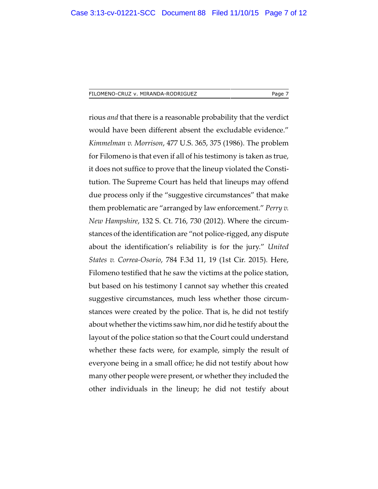#### FILOMENO-CRUZ v. MIRANDA-RODRIGUEZ FILOMENO-CRUZ Page 7

rious *and* that there is a reasonable probability that the verdict would have been different absent the excludable evidence." *Kimmelman v. Morrison*, 477 U.S. 365, 375 (1986). The problem for Filomeno is that even if all of his testimony is taken as true, it does not suffice to prove that the lineup violated the Constitution. The Supreme Court has held that lineups may offend due process only if the "suggestive circumstances" that make them problematic are "arranged by law enforcement." *Perry v. New Hampshire*, 132 S. Ct. 716, 730 (2012). Where the circumstances of the identification are "not police-rigged, any dispute about the identification's reliability is for the jury." *United States v. Correa-Osorio*, 784 F.3d 11, 19 (1st Cir. 2015). Here, Filomeno testified that he saw the victims at the police station, but based on his testimony I cannot say whether this created suggestive circumstances, much less whether those circumstances were created by the police. That is, he did not testify about whether the victims saw him, nor did he testify about the layout of the police station so that the Court could understand whether these facts were, for example, simply the result of everyone being in a small office; he did not testify about how many other people were present, or whether they included the other individuals in the lineup; he did not testify about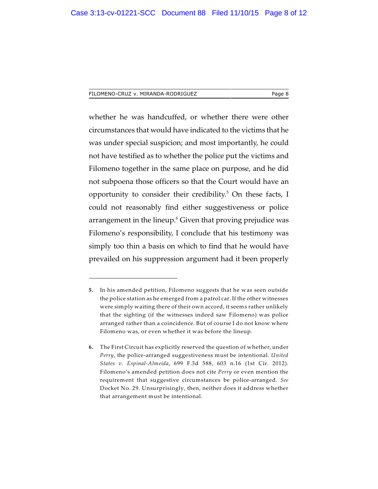whether he was handcuffed, or whether there were other circumstances that would have indicated to the victims that he was under special suspicion; and most importantly, he could not have testified as to whether the police put the victims and Filomeno together in the same place on purpose, and he did not subpoena those officers so that the Court would have an opportunity to consider their credibility.<sup>5</sup> On these facts, I could not reasonably find either suggestiveness or police arrangement in the lineup. $6$  Given that proving prejudice was Filomeno's responsibility, I conclude that his testimony was simply too thin a basis on which to find that he would have prevailed on his suppression argument had it been properly

**<sup>5.</sup>** In his amended petition, Filomeno suggests that he was seen outside the police station as he emerged from a patrol car. If the other witnesses were simply waiting there of their own accord, it seems rather unlikely that the sighting (if the witnesses indeed saw Filomeno) was police arranged rather than a coincidence. But of course I do not know where Filomeno was, or even whether it was before the lineup.

**<sup>6.</sup>** The First Circuit has explicitly reserved the question of whether, under *Perry*, the police-arranged suggestiveness must be intentional. *United States v. Espinal-Almeida*, 699 F.3d 588, 603 n.16 (1st Cir. 2012). Filomeno's amended petition does not cite *Perry* or even mention the requirement that suggestive circumstances be police-arranged. *See* Docket No. 29. Unsurprisingly, then, neither does it address whether that arrangement must be intentional.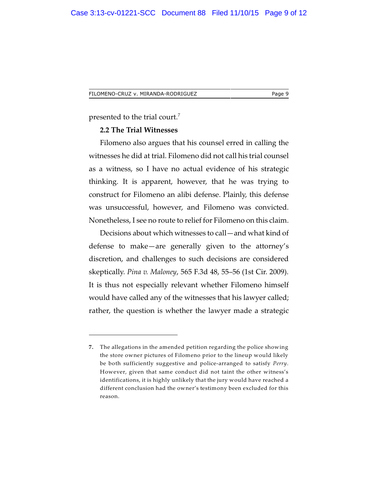presented to the trial court.<sup>7</sup>

### **2.2 The Trial Witnesses**

Filomeno also argues that his counsel erred in calling the witnesses he did at trial. Filomeno did not call his trial counsel as a witness, so I have no actual evidence of his strategic thinking. It is apparent, however, that he was trying to construct for Filomeno an alibi defense. Plainly, this defense was unsuccessful, however, and Filomeno was convicted. Nonetheless, I see no route to relief for Filomeno on this claim.

Decisions about which witnesses to call—and what kind of defense to make—are generally given to the attorney's discretion, and challenges to such decisions are considered skeptically. *Pina v. Maloney*, 565 F.3d 48, 55–56 (1st Cir. 2009). It is thus not especially relevant whether Filomeno himself would have called any of the witnesses that his lawyer called; rather, the question is whether the lawyer made a strategic

**<sup>7.</sup>** The allegations in the amended petition regarding the police showing the store owner pictures of Filomeno prior to the lineup would likely be both sufficiently suggestive and police-arranged to satisfy *Perry*. However, given that same conduct did not taint the other witness's identifications, it is highly unlikely that the jury would have reached a different conclusion had the owner's testimony been excluded for this reason.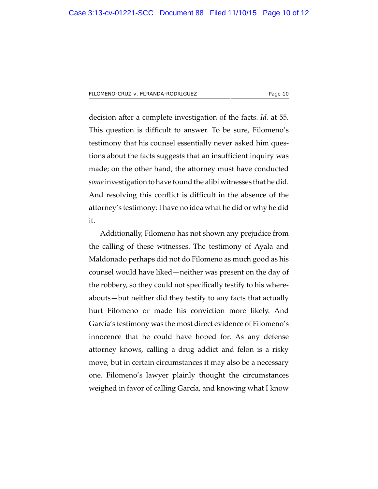#### FILOMENO-CRUZ v. MIRANDA-RODRIGUEZ enterprise of the Page 10

decision after a complete investigation of the facts. *Id.* at 55. This question is difficult to answer. To be sure, Filomeno's testimony that his counsel essentially never asked him questions about the facts suggests that an insufficient inquiry was made; on the other hand, the attorney must have conducted *some*investigation to have found the alibi witnesses that he did. And resolving this conflict is difficult in the absence of the attorney's testimony: I have no idea what he did or why he did it.

Additionally, Filomeno has not shown any prejudice from the calling of these witnesses. The testimony of Ayala and Maldonado perhaps did not do Filomeno as much good as his counsel would have liked—neither was present on the day of the robbery, so they could not specifically testify to his whereabouts—but neither did they testify to any facts that actually hurt Filomeno or made his conviction more likely. And García's testimony was the most direct evidence of Filomeno's innocence that he could have hoped for. As any defense attorney knows, calling a drug addict and felon is a risky move, but in certain circumstances it may also be a necessary one. Filomeno's lawyer plainly thought the circumstances weighed in favor of calling García, and knowing what I know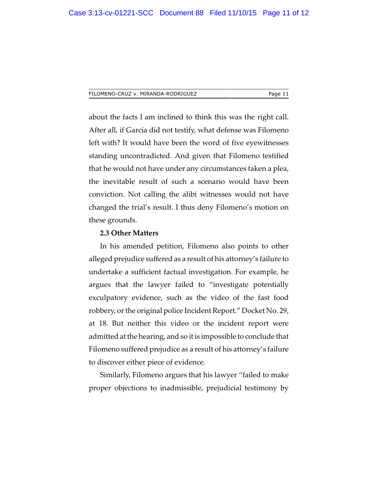#### FILOMENO-CRUZ v. MIRANDA-RODRIGUEZ enterprise of the Page 11

about the facts I am inclined to think this was the right call. After all, if García did not testify, what defense was Filomeno left with? It would have been the word of five eyewitnesses standing uncontradicted. And given that Filomeno testified that he would not have under any circumstances taken a plea, the inevitable result of such a scenario would have been conviction. Not calling the alibi witnesses would not have changed the trial's result. I thus deny Filomeno's motion on these grounds.

#### **2.3 Other Matters**

In his amended petition, Filomeno also points to other alleged prejudice suffered as a result of his attorney's failure to undertake a sufficient factual investigation. For example, he argues that the lawyer failed to "investigate potentially exculpatory evidence, such as the video of the fast food robbery, or the original police Incident Report." Docket No. 29, at 18. But neither this video or the incident report were admitted at the hearing, and so it is impossible to conclude that Filomeno suffered prejudice as a result of his attorney's failure to discover either piece of evidence.

Similarly, Filomeno argues that his lawyer "failed to make proper objections to inadmissible, prejudicial testimony by